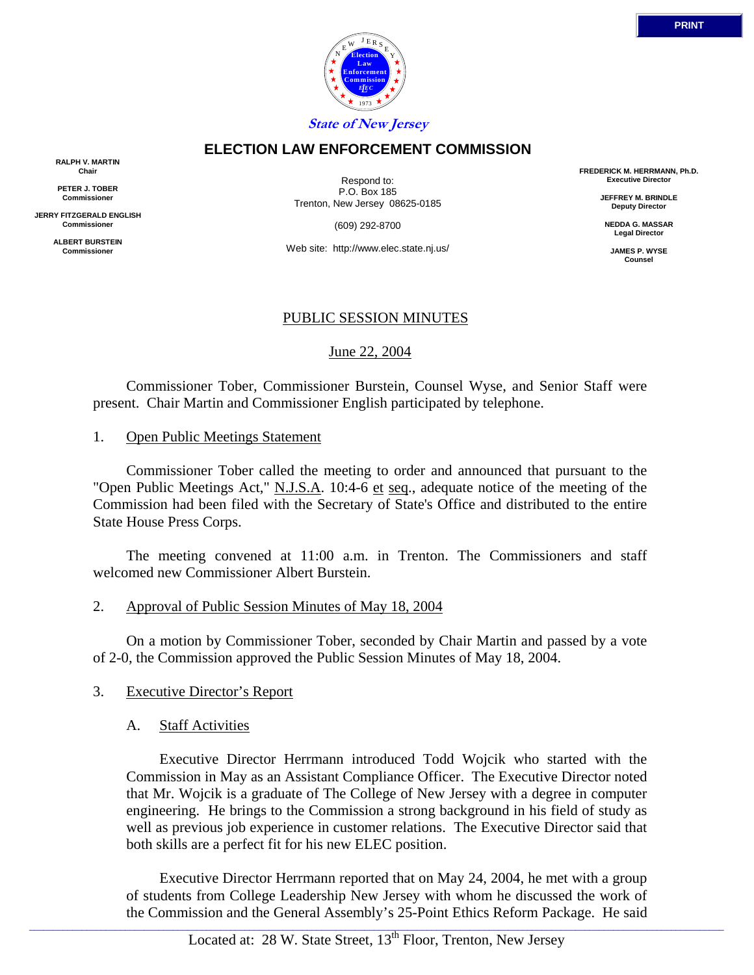

### **ELECTION LAW ENFORCEMENT COMMISSION**

**RALPH V. MARTIN Chair**

**PETER J. TOBER Commissioner**

**JERRY FITZGERALD ENGLISH Commissioner**

> **ALBERT BURSTEIN Commissioner**

Respond to: P.O. Box 185 Trenton, New Jersey 08625-0185

(609) 292-8700

Web site: http://www.elec.state.nj.us/

### PUBLIC SESSION MINUTES

June 22, 2004

 Commissioner Tober, Commissioner Burstein, Counsel Wyse, and Senior Staff were present. Chair Martin and Commissioner English participated by telephone.

### 1. Open Public Meetings Statement

 Commissioner Tober called the meeting to order and announced that pursuant to the "Open Public Meetings Act," N.J.S.A. 10:4-6 et seq., adequate notice of the meeting of the Commission had been filed with the Secretary of State's Office and distributed to the entire State House Press Corps.

 The meeting convened at 11:00 a.m. in Trenton. The Commissioners and staff welcomed new Commissioner Albert Burstein.

### 2. Approval of Public Session Minutes of May 18, 2004

 On a motion by Commissioner Tober, seconded by Chair Martin and passed by a vote of 2-0, the Commission approved the Public Session Minutes of May 18, 2004.

### 3. Executive Director's Report

### A. Staff Activities

 Executive Director Herrmann introduced Todd Wojcik who started with the Commission in May as an Assistant Compliance Officer. The Executive Director noted that Mr. Wojcik is a graduate of The College of New Jersey with a degree in computer engineering. He brings to the Commission a strong background in his field of study as well as previous job experience in customer relations. The Executive Director said that both skills are a perfect fit for his new ELEC position.

 Executive Director Herrmann reported that on May 24, 2004, he met with a group of students from College Leadership New Jersey with whom he discussed the work of the Commission and the General Assembly's 25-Point Ethics Reform Package. He said

**FREDERICK M. HERRMANN, Ph.D. Executive Director**

> **JEFFREY M. BRINDLE Deputy Director**

**NEDDA G. MASSAR Legal Director**

> **JAMES P. WYSE Counsel**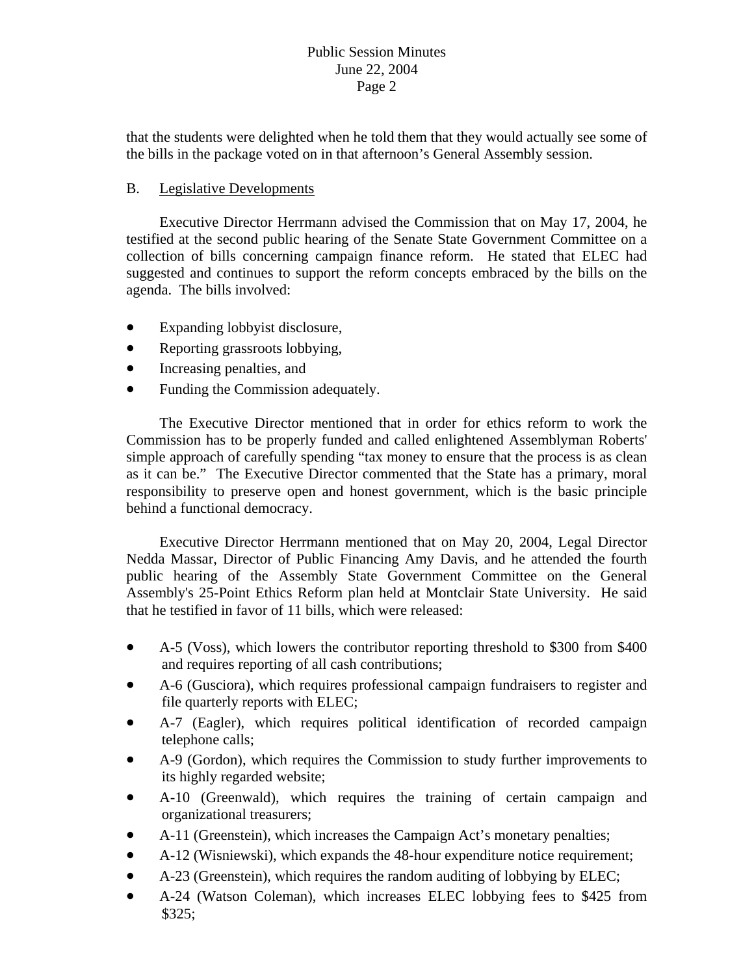that the students were delighted when he told them that they would actually see some of the bills in the package voted on in that afternoon's General Assembly session.

# B. Legislative Developments

 Executive Director Herrmann advised the Commission that on May 17, 2004, he testified at the second public hearing of the Senate State Government Committee on a collection of bills concerning campaign finance reform. He stated that ELEC had suggested and continues to support the reform concepts embraced by the bills on the agenda. The bills involved:

- Expanding lobbyist disclosure,
- Reporting grassroots lobbying,
- Increasing penalties, and
- Funding the Commission adequately.

responsibility to preserve open and honest government, which is the basic principle behind a functional democracy. The Executive Director mentioned that in order for ethics reform to work the Commission has to be properly funded and called enlightened Assemblyman Roberts' simple approach of carefully spending "tax money to ensure that the process is as clean as it can be." The Executive Director commented that the State has a primary, moral

Assembly's 25-Point Ethics Reform plan held at Montclair State University. He said that he testified in favor of 11 bills, which were released: Executive Director Herrmann mentioned that on May 20, 2004, Legal Director Nedda Massar, Director of Public Financing Amy Davis, and he attended the fourth public hearing of the Assembly State Government Committee on the General

- A-5 (Voss), which lowers the contributor reporting threshold to \$300 from \$400 and requires reporting of all cash contributions;
- A-6 (Gusciora), which requires professional campaign fundraisers to register and file quarterly reports with ELEC;
- A-7 (Eagler), which requires political identification of recorded campaign telephone calls;
- A-9 (Gordon), which requires the Commission to study further improvements to its highly regarded website;
- A-10 (Greenwald), which requires the training of certain campaign and organizational treasurers;
- A-11 (Greenstein), which increases the Campaign Act's monetary penalties;
- A-12 (Wisniewski), which expands the 48-hour expenditure notice requirement;
- A-23 (Greenstein), which requires the random auditing of lobbying by ELEC;
- A-24 (Watson Coleman), which increases ELEC lobbying fees to \$425 from \$325;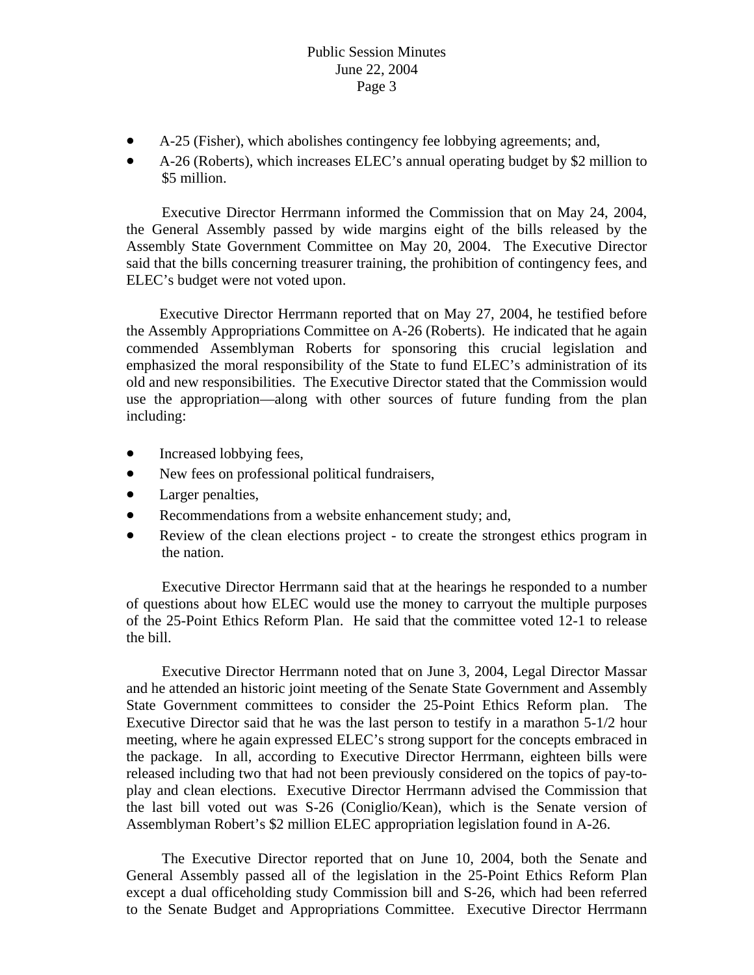- A-25 (Fisher), which abolishes contingency fee lobbying agreements; and, •
- A-26 (Roberts), which increases ELEC's annual operating budget by \$2 million to \$5 million.

the General Assembly passed by wide margins eight of the bills released by the Executive Director Herrmann informed the Commission that on May 24, 2004, Assembly State Government Committee on May 20, 2004. The Executive Director said that the bills concerning treasurer training, the prohibition of contingency fees, and ELEC's budget were not voted upon.

emphasized the moral responsibility of the State to fund ELEC's administration of its old and new responsibilities. The Executive Director stated that the Commission would use the appropriation—along with other sources of future funding from the plan Executive Director Herrmann reported that on May 27, 2004, he testified before the Assembly Appropriations Committee on A-26 (Roberts). He indicated that he again commended Assemblyman Roberts for sponsoring this crucial legislation and including:

- Increased lobbying fees,
- New fees on professional political fundraisers,
- Larger penalties, •
- Recommendations from a website enhancement study; and,
- Review of the clean elections project to create the strongest ethics program in the nation.

Executive Director Herrmann said that at the hearings he responded to a number of questions about how ELEC would use the money to carryout the multiple purposes of the 25-Point Ethics Reform Plan. He said that the committee voted 12-1 to release the bill.

the package. In all, according to Executive Director Herrmann, eighteen bills were releas ed including two that had not been previously considered on the topics of pay-to-Executive Director Herrmann noted that on June 3, 2004, Legal Director Massar and he attended an historic joint meeting of the Senate State Government and Assembly State Government committees to consider the 25-Point Ethics Reform plan. The Executive Director said that he was the last person to testify in a marathon 5-1/2 hour meeting, where he again expressed ELEC's strong support for the concepts embraced in play and clean elections. Executive Director Herrmann advised the Commission that the last bill voted out was S-26 (Coniglio/Kean), which is the Senate version of Assemblyman Robert's \$2 million ELEC appropriation legislation found in A-26.

except a dual officeholding study Commission bill and S-26, which had been referred to the Senate Budget and Appropriations Committee. Executive Director Herrmann The Executive Director reported that on June 10, 2004, both the Senate and General Assembly passed all of the legislation in the 25-Point Ethics Reform Plan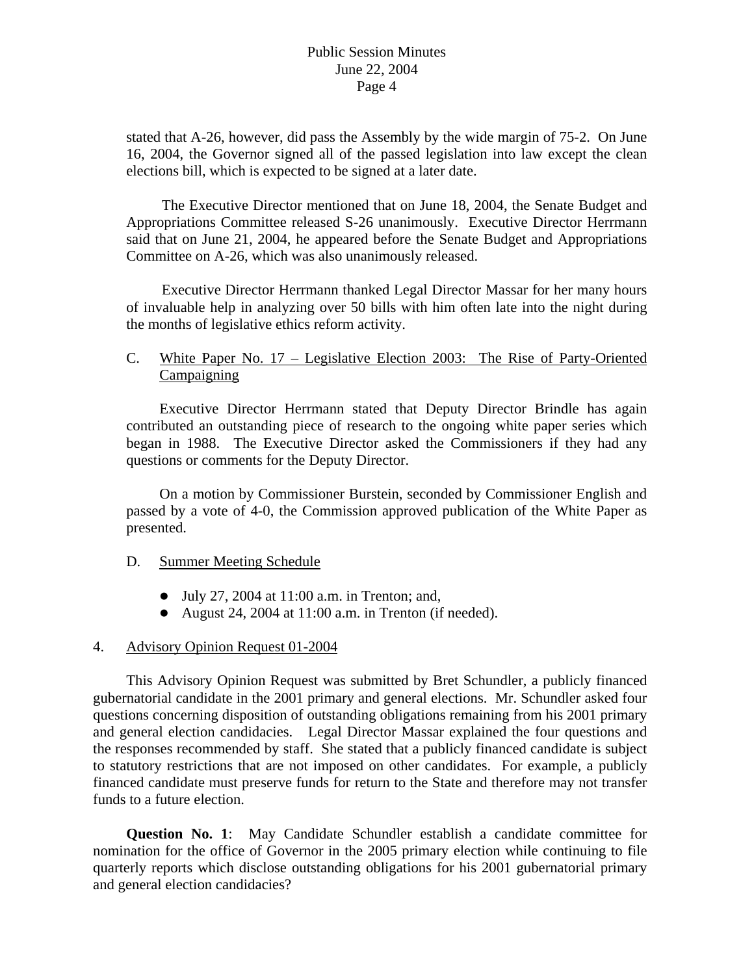stated that A-26, however, did pass the Assembly by the wide margin of 75-2. On June 16, 2004, the Governor signed all of the passed legislation into law except the clean elections bill, which is expected to be signed at a later date.

The Executive Director mentioned that on June 18, 2004, the Senate Budget and Appro priations Committee released S-26 unanimously. Executive Director Herrmann Committee on A-26, which was also unanimously released. said that on June 21, 2004, he appeared before the Senate Budget and Appropriations

of invaluable help in analyzing over 50 bills with him often late into the night during the months of legislative ethics reform activity. Executive Director Herrmann thanked Legal Director Massar for her many hours

# C. White Paper No. 17 – Legislative Election 2003: The Rise of Party-Oriented Campaigning

Executive Director Herrmann stated that Deputy Director Brindle has again questions or comments for the Deputy Director. contributed an outstanding piece of research to the ongoing white paper series which began in 1988. The Executive Director asked the Commissioners if they had any

On a motion by Commissioner Burstein, seconded by Commissioner English and passed by a vote of 4-0, the Commission approved publication of the White Paper as presented.

## D. Summer Meeting Schedule

- $\bullet$  July 27, 2004 at 11:00 a.m. in Trenton; and,
- August 24, 2004 at  $11:00$  a.m. in Trenton (if needed).

# 4. Advisory Opinion Request 01-2004

This Advisory Opinion Request was submitted by Bret Schundler, a publicly financed gubernatorial candidate in the 2001 primary and general elections. Mr. Schundler asked four questions concerning disposition of outstanding obligations remaining from his 2001 primary and general election candidacies. Legal Director Massar explained the four questions and the responses recommended by staff. She stated that a publicly financed candidate is subject to sta tutory restrictions that are not imposed on other candidates. For example, a publicly financed candidate must preserve funds for return to the State and therefore may not transfer funds to a future election.

**uestion No. 1**: May Candidate Schundler establish a candidate committee for **Q** nomi nation for the office of Governor in the 2005 primary election while continuing to file quarterly reports which disclose outstanding obligations for his 2001 gubernatorial primary and general election candidacies?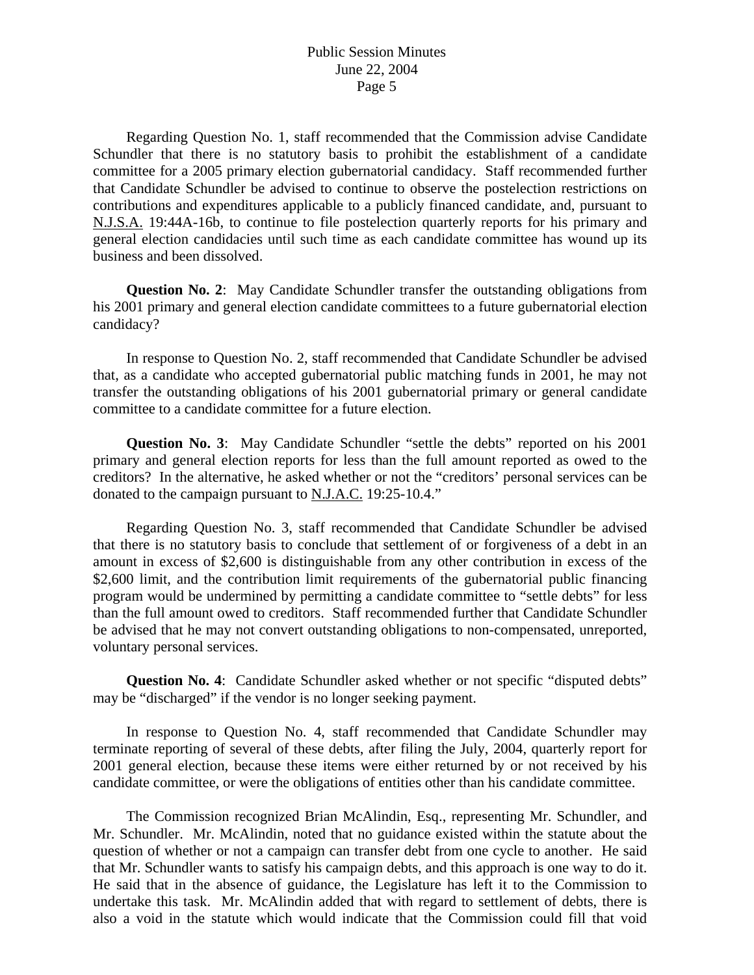committee for a 2005 primary election gubernatorial candidacy. Staff recommended further that Candidate Schundler be advised to continue to observe the postelection restrictions on contr ibutions and expenditures applicable to a publicly financed candidate, and, pursuant to Regarding Question No. 1, staff recommended that the Commission advise Candidate Schundler that there is no statutory basis to prohibit the establishment of a candidate N.J.S.A. 19:44A-16b, to continue to file postelection quarterly reports for his primary and general election candidacies until such time as each candidate committee has wound up its business and been dissolved.

**Question No. 2**: May Candidate Schundler transfer the outstanding obligations from his 2001 primary and general election candidate committees to a future gubernatorial election candidacy?

In response to Question No. 2, staff recommended that Candidate Schundler be advised that, as a candidate who accepted gubernatorial public matching funds in 2001, he may not transfer the outstanding obligations of his 2001 gubernatorial primary or general candidate committee to a candidate committee for a future election.

**Question No. 3**: May Candidate Schundler "settle the debts" reported on his 2001 primary and general election reports for less than the full amount reported as owed to the creditors? In the alternative, he asked whether or not the "creditors' personal services can be donated to the campaign pursuant to N.J.A.C. 19:25-10.4."

Regarding Question No. 3, staff recommended that Candidate Schundler be advised that there is no statutory basis to conclude that settlement of or forgiveness of a debt in an amount in excess of \$2,600 is distinguishable from any other contribution in excess of the \$2,600 limit, and the contribution limit requirements of the gubernatorial public financing progr am would be undermined by permitting a candidate committee to "settle debts" for less than the full amount owed to creditors. Staff recommended further that Candidate Schundler be advised that he may not convert outstanding obligations to non-compensated, unreported, volun tary personal services.

**Question No. 4:** Candidate Schundler asked whether or not specific "disputed debts" may be "discharged" if the vendor is no longer seeking payment.

In response to Question No. 4, staff recommended that Candidate Schundler may terminate reporting of several of these debts, after filing the July, 2004, quarterly report for 2001 general election, because these items were either returned by or not received by his candidate committee, or were the obligations of entities other than his candidate committee.

also a void in the statute which would indicate that the Commission could fill that void The Commission recognized Brian McAlindin, Esq., representing Mr. Schundler, and Mr. Schundler. Mr. McAlindin, noted that no guidance existed within the statute about the question of whether or not a campaign can transfer debt from one cycle to another. He said that Mr. Schundler wants to satisfy his campaign debts, and this approach is one way to do it. He said that in the absence of guidance, the Legislature has left it to the Commission to undertake this task. Mr. McAlindin added that with regard to settlement of debts, there is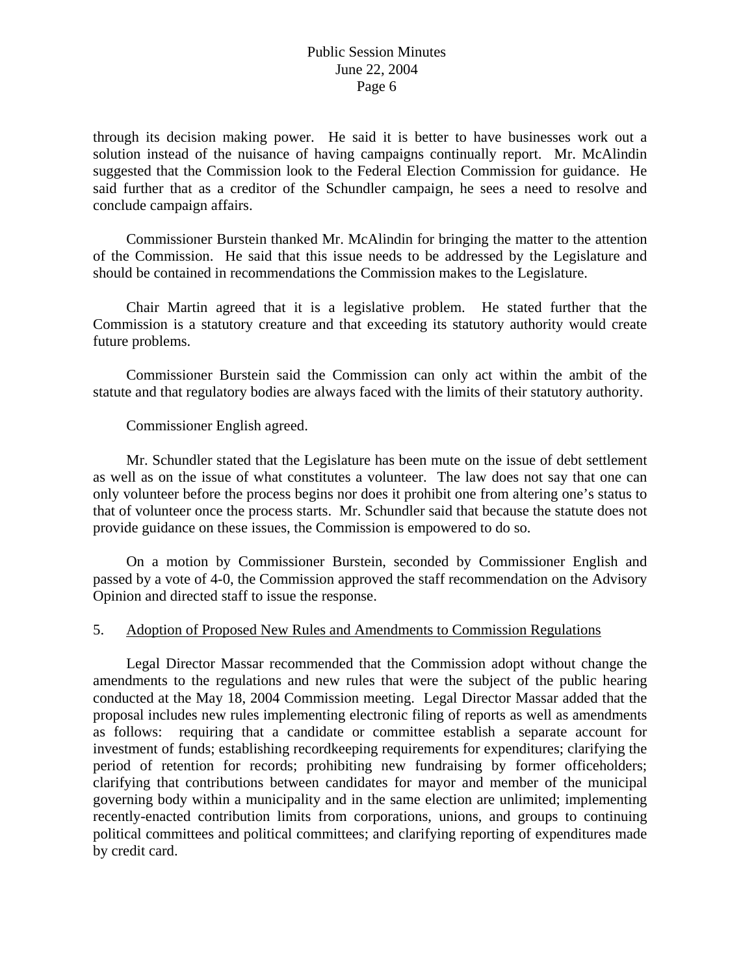through its decision making power. He said it is better to have businesses work out a said further that as a creditor of the Schundler campaign, he sees a need to resolve and conclude campaign affairs. solution instead of the nuisance of having campaigns continually report. Mr. McAlindin suggested that the Commission look to the Federal Election Commission for guidance. He

of the Commission. He said that this issue needs to be addressed by the Legislature and should be contained in recommendations the Commission makes to the Legislature. Commissioner Burstein thanked Mr. McAlindin for bringing the matter to the attention

Commission is a statutory creature and that exceeding its statutory authority would create Chair Martin agreed that it is a legislative problem. He stated further that the future problems.

 Commissioner Burstein said the Commission can only act within the ambit of the statute and that regulatory bodies are always faced with the limits of their statutory authority.

## Commissioner English agreed.

Mr. Schundler stated that the Legislature has been mute on the issue of debt settlement that of volunteer once the process starts. Mr. Schundler said that because the statute does not provide guidance on these issues, the Commission is empowered to do so. as well as on the issue of what constitutes a volunteer. The law does not say that one can only volunteer before the process begins nor does it prohibit one from altering one's status to

On a motion by Commissioner Burstein, seconded by Commissioner English and passed by a vote of 4-0, the Commission approved the staff recommendation on the Advisory Opinion and directed staff to issue the response.

## 5. Adoption of Proposed New Rules and Amendments to Commission Regulations

 Legal Director Massar recommended that the Commission adopt without change the amendments to the regulations and new rules that were the subject of the public hearing conducted at the May 18, 2004 Commission meeting. Legal Director Massar added that the proposal includes new rules implementing electronic filing of reports as well as amendments as follows: requiring that a candidate or committee establish a separate account for investment of funds; establishing recordkeeping requirements for expenditures; clarifying the period of retention for records; prohibiting new fundraising by former officeholders; clarifying that contributions between candidates for mayor and member of the municipal governing body within a municipality and in the same election are unlimited; implementing recently-enacted contribution limits from corporations, unions, and groups to continuing political committees and political committees; and clarifying reporting of expenditures made by credit card.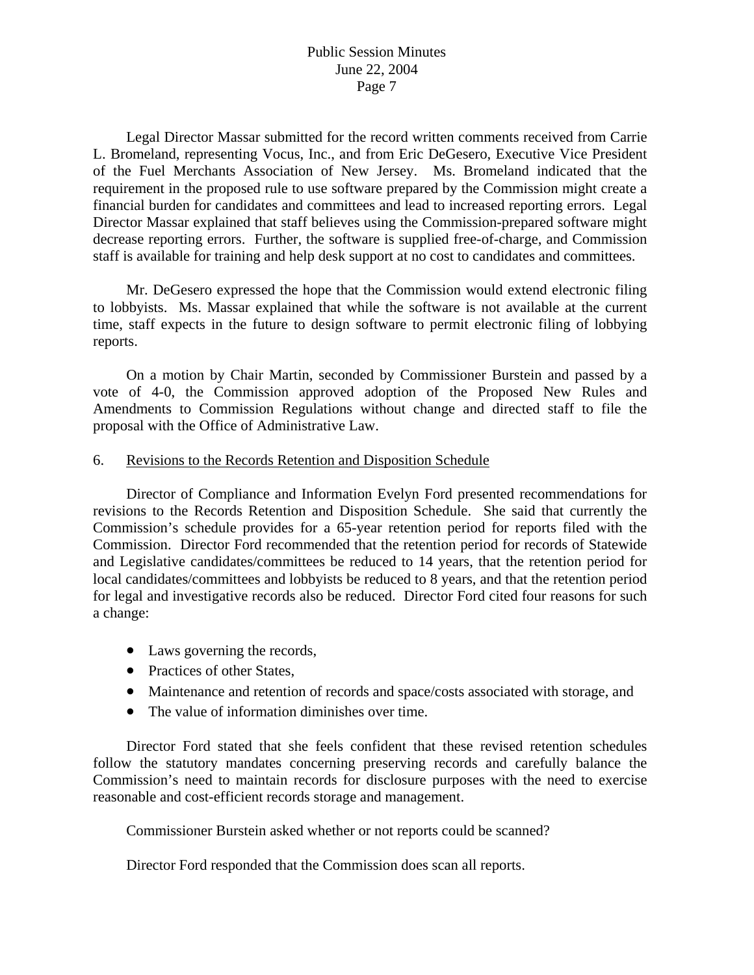Legal Director Massar submitted for the record written comments received from Carrie L. Bromeland, representing Vocus, Inc., and from Eric DeGesero, Executive Vice President of the Fuel Merchants Association of New Jersey. Ms. Bromeland indicated that the requirement in the proposed rule to use software prepared by the Commission might create a financial burden for candidates and committees and lead to increased reporting errors. Legal Director Massar explained that staff believes using the Commission-prepared software might decrease reporting errors. Further, the software is supplied free-of-charge, and Commission staff is available for training and help desk support at no cost to candidates and committees.

 Mr. DeGesero expressed the hope that the Commission would extend electronic filing to lobbyists. Ms. Massar explained that while the software is not available at the current time, staff expects in the future to design software to permit electronic filing of lobbying reports.

 On a motion by Chair Martin, seconded by Commissioner Burstein and passed by a vote of 4-0, the Commission approved adoption of the Proposed New Rules and Amendments to Commission Regulations without change and directed staff to file the proposal with the Office of Administrative Law.

### 6. Revisions to the Records Retention and Disposition Schedule

 Director of Compliance and Information Evelyn Ford presented recommendations for revisions to the Records Retention and Disposition Schedule. She said that currently the Commission's schedule provides for a 65-year retention period for reports filed with the Commission. Director Ford recommended that the retention period for records of Statewide and Legislative candidates/committees be reduced to 14 years, that the retention period for local candidates/committees and lobbyists be reduced to 8 years, and that the retention period for legal and investigative records also be reduced. Director Ford cited four reasons for such a change:

- Laws governing the records,
- Practices of other States,
- Maintenance and retention of records and space/costs associated with storage, and
- The value of information diminishes over time.

Commission's need to maintain records for disclosure purposes with the need to exercise reasonable and cost-efficient records storage and management. Director Ford stated that she feels confident that these revised retention schedules follow the statutory mandates concerning preserving records and carefully balance the

Commissioner Burstein asked whether or not reports could be scanned?

Director Ford responded that the Commission does scan all reports.